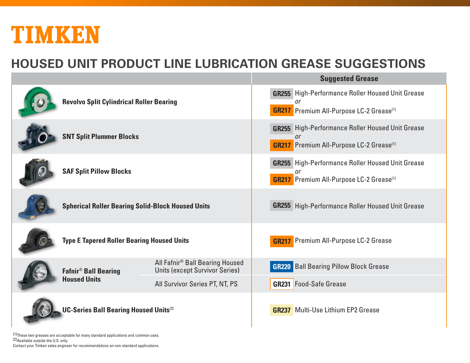# TIMKEN

### **HOUSED UNIT PRODUCT LINE LUBRICATION GREASE SUGGESTIONS**

|                                               |                                                               |                                                                                      | <u>ouyyootoa arouoo</u>                                                                                                      |  |  |
|-----------------------------------------------|---------------------------------------------------------------|--------------------------------------------------------------------------------------|------------------------------------------------------------------------------------------------------------------------------|--|--|
|                                               | <b>Revolvo Split Cylindrical Roller Bearing</b>               |                                                                                      | <b>GR255</b> High-Performance Roller Housed Unit Grease<br>or<br><b>GR217</b> Premium All-Purpose LC-2 Grease <sup>(1)</sup> |  |  |
|                                               | <b>SNT Split Plummer Blocks</b>                               |                                                                                      | <b>GR255</b> High-Performance Roller Housed Unit Grease<br>nr<br><b>GR217</b> Premium All-Purpose LC-2 Grease <sup>(1)</sup> |  |  |
|                                               | <b>SAF Split Pillow Blocks</b>                                |                                                                                      | <b>GR255</b> High-Performance Roller Housed Unit Grease<br>or<br><b>GR217</b> Premium All-Purpose LC-2 Grease <sup>(1)</sup> |  |  |
|                                               | <b>Spherical Roller Bearing Solid-Block Housed Units</b>      |                                                                                      | <b>GR255</b> High-Performance Roller Housed Unit Grease                                                                      |  |  |
|                                               | <b>Type E Tapered Roller Bearing Housed Units</b>             |                                                                                      | <b>GR217</b> Premium All-Purpose LC-2 Grease                                                                                 |  |  |
|                                               | <b>Fafnir<sup>®</sup> Ball Bearing</b><br><b>Housed Units</b> | All Fafnir <sup>®</sup> Ball Bearing Housed<br><b>Units (except Survivor Series)</b> | <b>GR220</b> Ball Bearing Pillow Block Grease                                                                                |  |  |
|                                               |                                                               | All Survivor Series PT, NT, PS                                                       | <b>GR231</b> Food-Safe Grease                                                                                                |  |  |
| <b>UC-Series Ball Bearing Housed Units(2)</b> |                                                               |                                                                                      | <b>GR237</b> Multi-Use Lithium EP2 Grease                                                                                    |  |  |

(1)These two greases are acceptable for many standard applications and common uses. (2)Available outside the U.S. only. Contact your Timken sales engineer for recommendations on non-standard applications.